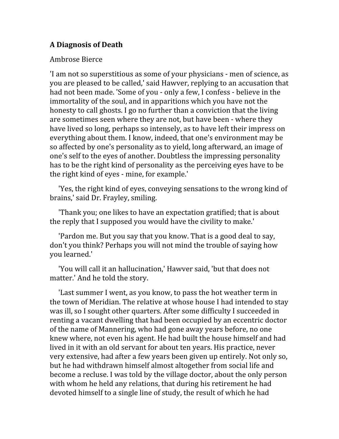## **A Diagnosis of Death**

## Ambrose Bierce

'I am not so superstitious as some of your physicians ‐ men of science, as you are pleased to be called,' said Hawver, replying to an accusation that had not been made. 'Some of you ‐ only a few, I confess ‐ believe in the immortality of the soul, and in apparitions which you have not the honesty to call ghosts. I go no further than a conviction that the living are sometimes seen where they are not, but have been ‐ where they have lived so long, perhaps so intensely, as to have left their impress on everything about them. I know, indeed, that one's environment may be so affected by one's personality as to yield, long afterward, an image of one's self to the eyes of another. Doubtless the impressing personality has to be the right kind of personality as the perceiving eyes have to be the right kind of eyes ‐ mine, for example.'

 'Yes, the right kind of eyes, conveying sensations to the wrong kind of brains,' said Dr. Frayley, smiling.

 'Thank you; one likes to have an expectation gratified; that is about the reply that I supposed you would have the civility to make.'

 'Pardon me. But you say that you know. That is a good deal to say, don't you think? Perhaps you will not mind the trouble of saying how you learned.'

 'You will call it an hallucination,' Hawver said, 'but that does not matter.' And he told the story.

 'Last summer I went, as you know, to pass the hot weather term in the town of Meridian. The relative at whose house I had intended to stay was ill, so I sought other quarters. After some difficulty I succeeded in renting a vacant dwelling that had been occupied by an eccentric doctor of the name of Mannering, who had gone away years before, no one knew where, not even his agent. He had built the house himself and had lived in it with an old servant for about ten years. His practice, never very extensive, had after a few years been given up entirely. Not only so, but he had withdrawn himself almost altogether from social life and become a recluse. I was told by the village doctor, about the only person with whom he held any relations, that during his retirement he had devoted himself to a single line of study, the result of which he had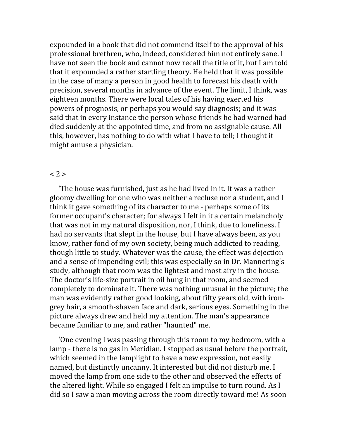expounded in a book that did not commend itself to the approval of his professional brethren, who, indeed, considered him not entirely sane. I have not seen the book and cannot now recall the title of it, but I am told that it expounded a rather startling theory. He held that it was possible in the case of many a person in good health to forecast his death with precision, several months in advance of the event. The limit, I think, was eighteen months. There were local tales of his having exerted his powers of prognosis, or perhaps you would say diagnosis; and it was said that in every instance the person whose friends he had warned had died suddenly at the appointed time, and from no assignable cause. All this, however, has nothing to do with what I have to tell; I thought it might amuse a physician.

## < 2 >

 'The house was furnished, just as he had lived in it. It was a rather gloomy dwelling for one who was neither a recluse nor a student, and I think it gave something of its character to me ‐ perhaps some of its former occupant's character; for always I felt in it a certain melancholy that was not in my natural disposition, nor, I think, due to loneliness. I had no servants that slept in the house, but I have always been, as you know, rather fond of my own society, being much addicted to reading, though little to study. Whatever was the cause, the effect was dejection and a sense of impending evil; this was especially so in Dr. Mannering's study, although that room was the lightest and most airy in the house. The doctor's life‐size portrait in oil hung in that room, and seemed completely to dominate it. There was nothing unusual in the picture; the man was evidently rather good looking, about fifty years old, with iron‐ grey hair, a smooth‐shaven face and dark, serious eyes. Something in the picture always drew and held my attention. The man's appearance became familiar to me, and rather "haunted" me.

 'One evening I was passing through this room to my bedroom, with a lamp - there is no gas in Meridian. I stopped as usual before the portrait, which seemed in the lamplight to have a new expression, not easily named, but distinctly uncanny. It interested but did not disturb me. I moved the lamp from one side to the other and observed the effects of the altered light. While so engaged I felt an impulse to turn round. As I did so I saw a man moving across the room directly toward me! As soon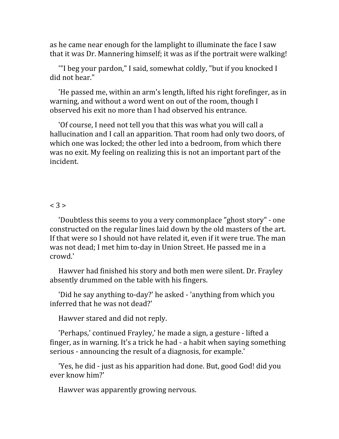as he came near enough for the lamplight to illuminate the face I saw that it was Dr. Mannering himself; it was as if the portrait were walking!

 '"I beg your pardon," I said, somewhat coldly, "but if you knocked I did not hear."

 'He passed me, within an arm's length, lifted his right forefinger, as in warning, and without a word went on out of the room, though I observed his exit no more than I had observed his entrance.

 'Of course, I need not tell you that this was what you will call a hallucination and I call an apparition. That room had only two doors, of which one was locked; the other led into a bedroom, from which there was no exit. My feeling on realizing this is not an important part of the incident.

## $< 3 >$

 'Doubtless this seems to you a very commonplace "ghost story" ‐ one constructed on the regular lines laid down by the old masters of the art. If that were so I should not have related it, even if it were true. The man was not dead; I met him to‐day in Union Street. He passed me in a crowd.'

 Hawver had finished his story and both men were silent. Dr. Frayley absently drummed on the table with his fingers.

 'Did he say anything to‐day?' he asked ‐ 'anything from which you inferred that he was not dead?'

Hawver stared and did not reply.

 'Perhaps,' continued Frayley,' he made a sign, a gesture ‐ lifted a finger, as in warning. It's a trick he had ‐ a habit when saying something serious - announcing the result of a diagnosis, for example.'

 'Yes, he did ‐ just as his apparition had done. But, good God! did you ever know him?'

Hawver was apparently growing nervous.